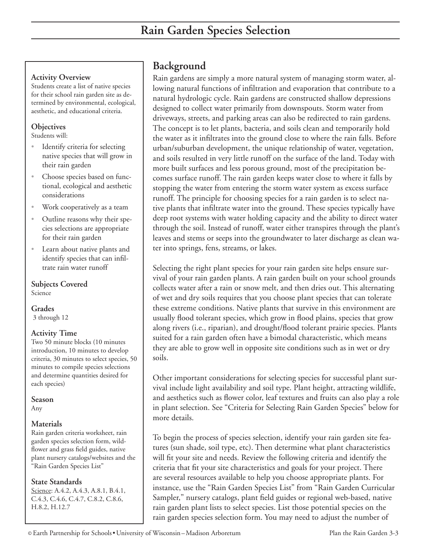### **Activity Overview**

Students create a list of native species for their school rain garden site as determined by environmental, ecological, aesthetic, and educational criteria.

### **Objectives**

Students will:

- Identify criteria for selecting native species that will grow in their rain garden •
- Choose species based on functional, ecological and aesthetic considerations •
- Work cooperatively as a team •
- Outline reasons why their species selections are appropriate for their rain garden •
- Learn about native plants and identify species that can infiltrate rain water runoff •

**Subjects Covered**  Science

### **Grades**

3 through 12

#### **Activity Time**

Two 50 minute blocks (10 minutes introduction, 10 minutes to develop criteria, 30 minutes to select species, 50 minutes to compile species selections and determine quantities desired for each species)

#### **Season**

Any

#### **Materials**

Rain garden criteria worksheet, rain garden species selection form, wildflower and grass field guides, native plant nursery catalogs/websites and the "Rain Garden Species List"

#### **State Standards**

Science: A.4.2, A.4.3, A.8.1, B.4.1, C.4.3, C.4.6, C.4.7, C.8.2, C.8.6, H.8.2, H.12.7

# **Background**

Rain gardens are simply a more natural system of managing storm water, allowing natural functions of infiltration and evaporation that contribute to a natural hydrologic cycle. Rain gardens are constructed shallow depressions designed to collect water primarily from downspouts. Storm water from driveways, streets, and parking areas can also be redirected to rain gardens. The concept is to let plants, bacteria, and soils clean and temporarily hold the water as it infiltrates into the ground close to where the rain falls. Before urban/suburban development, the unique relationship of water, vegetation, and soils resulted in very little runoff on the surface of the land. Today with more built surfaces and less porous ground, most of the precipitation becomes surface runoff. The rain garden keeps water close to where it falls by stopping the water from entering the storm water system as excess surface runoff. The principle for choosing species for a rain garden is to select native plants that infiltrate water into the ground. These species typically have deep root systems with water holding capacity and the ability to direct water through the soil. Instead of runoff, water either transpires through the plant's leaves and stems or seeps into the groundwater to later discharge as clean water into springs, fens, streams, or lakes.

Selecting the right plant species for your rain garden site helps ensure survival of your rain garden plants. A rain garden built on your school grounds collects water after a rain or snow melt, and then dries out. This alternating of wet and dry soils requires that you choose plant species that can tolerate these extreme conditions. Native plants that survive in this environment are usually flood tolerant species, which grow in flood plains, species that grow along rivers (i.e., riparian), and drought/flood tolerant prairie species. Plants suited for a rain garden often have a bimodal characteristic, which means they are able to grow well in opposite site conditions such as in wet or dry soils.

Other important considerations for selecting species for successful plant survival include light availability and soil type. Plant height, attracting wildlife, and aesthetics such as flower color, leaf textures and fruits can also play a role in plant selection. See "Criteria for Selecting Rain Garden Species" below for more details.

To begin the process of species selection, identify your rain garden site features (sun shade, soil type, etc). Then determine what plant characteristics will fit your site and needs. Review the following criteria and identify the criteria that fit your site characteristics and goals for your project. There are several resources available to help you choose appropriate plants. For instance, use the "Rain Garden Species List" from "Rain Garden Curricular Sampler," nursery catalogs, plant field guides or regional web-based, native rain garden plant lists to select species. List those potential species on the rain garden species selection form. You may need to adjust the number of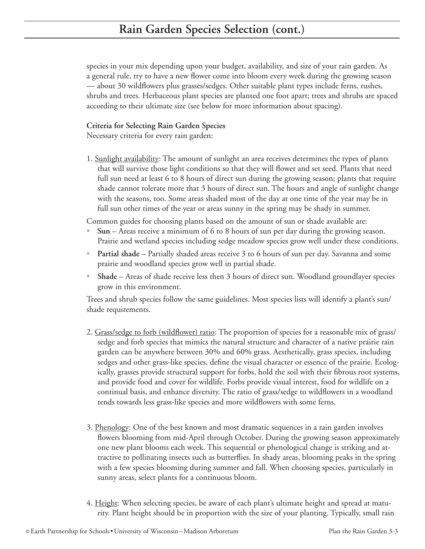species in your mix depending upon your budget, availability, and size of your rain garden. As a general rule, try to have a new flower come into bloom every week during the growing season — about 30 wildflowers plus grasses/sedges. Other suitable plant types include ferns, rushes, shrubs and trees. Herbaceous plant species are planted one foot apart; trees and shrubs are spaced according to their ultimate size (see below for more information about spacing).

### **Criteria for Selecting Rain Garden Species**

Necessary criteria for every rain garden:

1. Sunlight availability: The amount of sunlight an area receives determines the types of plants that will survive those light conditions so that they will flower and set seed. Plants that need full sun need at least 6 to 8 hours of direct sun during the growing season; plants that require shade cannot tolerate more that 3 hours of direct sun. The hours and angle of sunlight change with the seasons, too. Some areas shaded most of the day at one time of the year may be in full sun other times of the year or areas sunny in the spring may be shady in summer.

Common guides for choosing plants based on the amount of sun or shade available are:

- **Sun** Areas receive a minimum of 6 to 8 hours of sun per day during the growing season. Prairie and wetland species including sedge meadow species grow well under these conditions. **•**
- Partial shade Partially shaded areas receive 3 to 6 hours of sun per day. Savanna and some prairie and woodland species grow well in partial shade.
- **Shade** Areas of shade receive less then 3 hours of direct sun. Woodland groundlayer species grow in this environment. **•**

Trees and shrub species follow the same guidelines. Most species lists will identify a plant's sun/ shade requirements.

- 2. Grass/sedge to forb (wildflower) ratio: The proportion of species for a reasonable mix of grass/ sedge and forb species that mimics the natural structure and character of a native prairie rain garden can be anywhere between 30% and 60% grass. Aesthetically, grass species, including sedges and other grass-like species, define the visual character or essence of the prairie. Ecologically, grasses provide structural support for forbs, hold the soil with their fibrous root systems, and provide food and cover for wildlife. Forbs provide visual interest, food for wildlife on a continual basis, and enhance diversity. The ratio of grass/sedge to wildflowers in a woodland tends towards less grass-like species and more wildflowers with some ferns.
- 3. Phenology: One of the best known and most dramatic sequences in a rain garden involves flowers blooming from mid-April through October. During the growing season approximately one new plant blooms each week. This sequential or phenological change is striking and attractive to pollinating insects such as butterflies. In shady areas, blooming peaks in the spring with a few species blooming during summer and fall. When choosing species, particularly in sunny areas, select plants for a continuous bloom.
- 4. Height: When selecting species, be aware of each plant's ultimate height and spread at maturity. Plant height should be in proportion with the size of your planting. Typically, small rain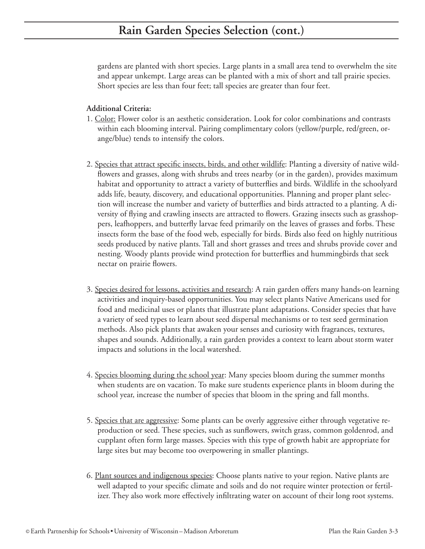gardens are planted with short species. Large plants in a small area tend to overwhelm the site and appear unkempt. Large areas can be planted with a mix of short and tall prairie species. Short species are less than four feet; tall species are greater than four feet.

### **Additional Criteria:**

- 1. Color: Flower color is an aesthetic consideration. Look for color combinations and contrasts within each blooming interval. Pairing complimentary colors (yellow/purple, red/green, orange/blue) tends to intensify the colors.
- 2. Species that attract specific insects, birds, and other wildlife: Planting a diversity of native wildflowers and grasses, along with shrubs and trees nearby (or in the garden), provides maximum habitat and opportunity to attract a variety of butterflies and birds. Wildlife in the schoolyard adds life, beauty, discovery, and educational opportunities. Planning and proper plant selection will increase the number and variety of butterflies and birds attracted to a planting. A diversity of flying and crawling insects are attracted to flowers. Grazing insects such as grasshoppers, leafhoppers, and butterfly larvae feed primarily on the leaves of grasses and forbs. These insects form the base of the food web, especially for birds. Birds also feed on highly nutritious seeds produced by native plants. Tall and short grasses and trees and shrubs provide cover and nesting. Woody plants provide wind protection for butterflies and hummingbirds that seek nectar on prairie flowers.
- 3. Species desired for lessons, activities and research: A rain garden offers many hands-on learning activities and inquiry-based opportunities. You may select plants Native Americans used for food and medicinal uses or plants that illustrate plant adaptations. Consider species that have a variety of seed types to learn about seed dispersal mechanisms or to test seed germination methods. Also pick plants that awaken your senses and curiosity with fragrances, textures, shapes and sounds. Additionally, a rain garden provides a context to learn about storm water impacts and solutions in the local watershed.
- 4. Species blooming during the school year: Many species bloom during the summer months when students are on vacation. To make sure students experience plants in bloom during the school year, increase the number of species that bloom in the spring and fall months.
- 5. Species that are aggressive: Some plants can be overly aggressive either through vegetative reproduction or seed. These species, such as sunflowers, switch grass, common goldenrod, and cupplant often form large masses. Species with this type of growth habit are appropriate for large sites but may become too overpowering in smaller plantings.
- 6. Plant sources and indigenous species: Choose plants native to your region. Native plants are well adapted to your specific climate and soils and do not require winter protection or fertilizer. They also work more effectively infiltrating water on account of their long root systems.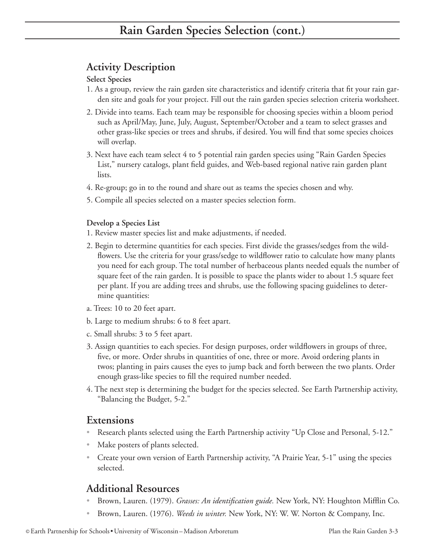# **Activity Description**

### **Select Species**

- 1. As a group, review the rain garden site characteristics and identify criteria that fit your rain garden site and goals for your project. Fill out the rain garden species selection criteria worksheet.
- 2. Divide into teams. Each team may be responsible for choosing species within a bloom period such as April/May, June, July, August, September/October and a team to select grasses and other grass-like species or trees and shrubs, if desired. You will find that some species choices will overlap.
- 3. Next have each team select 4 to 5 potential rain garden species using "Rain Garden Species List," nursery catalogs, plant field guides, and Web-based regional native rain garden plant lists.
- 4. Re-group; go in to the round and share out as teams the species chosen and why.
- 5. Compile all species selected on a master species selection form.

### **Develop a Species List**

- 1. Review master species list and make adjustments, if needed.
- 2. Begin to determine quantities for each species. First divide the grasses/sedges from the wildflowers. Use the criteria for your grass/sedge to wildflower ratio to calculate how many plants you need for each group. The total number of herbaceous plants needed equals the number of square feet of the rain garden. It is possible to space the plants wider to about 1.5 square feet per plant. If you are adding trees and shrubs, use the following spacing guidelines to determine quantities:
- a. Trees: 10 to 20 feet apart.
- b. Large to medium shrubs: 6 to 8 feet apart.
- c. Small shrubs: 3 to 5 feet apart.
- 3. Assign quantities to each species. For design purposes, order wildflowers in groups of three, five, or more. Order shrubs in quantities of one, three or more. Avoid ordering plants in twos; planting in pairs causes the eyes to jump back and forth between the two plants. Order enough grass-like species to fill the required number needed.
- 4. The next step is determining the budget for the species selected. See Earth Partnership activity, "Balancing the Budget, 5-2."

## **Extensions**

- Research plants selected using the Earth Partnership activity "Up Close and Personal, 5-12." •
- Make posters of plants selected. •
- Create your own version of Earth Partnership activity, "A Prairie Year, 5-1" using the species selected.

# **Additional Resources**

- Brown, Lauren. (1979). *Grasses: An identification guide.* New York, NY: Houghton Mifflin Co. •
- Brown, Lauren. (1976). *Weeds in winter.* New York, NY: W. W. Norton & Company, Inc. •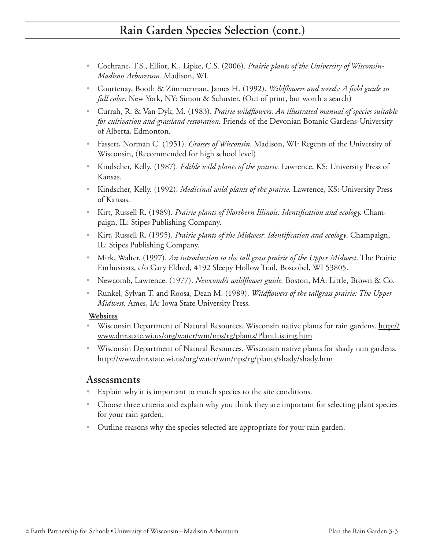# **Rain Garden Species Selection (cont.)**

- Cochrane, T.S., Elliot, K., Lipke, C.S. (2006). *Prairie plants of the University of Wisconsin- Madison Arboretum.* Madison, WI.
- Courtenay, Booth & Zimmerman, James H. (1992). *Wildflowers and weeds: A field guide in full color*. New York, NY: Simon & Schuster. (Out of print, but worth a search)
- Currah, R. & Van Dyk, M. (1983). *Prairie wildflowers: An illustrated manual of species suitable for cultivation and grassland restoration.* Friends of the Devonian Botanic Gardens-University of Alberta, Edmonton.
- Fassett, Norman C. (1951). *Grasses of Wisconsin*. Madison, WI: Regents of the University of Wisconsin, (Recommended for high school level)
- Kindscher, Kelly. (1987). *Edible wild plants of the prairie*. Lawrence, KS: University Press of Kansas.
- Kindscher, Kelly. (1992). *Medicinal wild plants of the prairie*. Lawrence, KS: University Press of Kansas.
- Kirt, Russell R. (1989). *Prairie plants of Northern Illinois: Identification and ecology*. Champaign, IL: Stipes Publishing Company.
- Kirt, Russell R. (1995). *Prairie plants of the Midwest: Identification and ecology*. Champaign, IL: Stipes Publishing Company.
- Mirk, Walter. (1997). An introduction to the tall grass prairie of the Upper Midwest. The Prairie Enthusiasts, c/o Gary Eldred, 4192 Sleepy Hollow Trail, Boscobel, WI 53805.
- Newcomb, Lawrence. (1977). *Newcomb's wildflower guide.* Boston, MA: Little, Brown & Co. •
- Runkel, Sylvan T. and Roosa, Dean M. (1989). *Wildflowers of the tallgrass prairie: The Upper Midwest*. Ames, IA: Iowa State University Press.

#### **Websites**

- Wisconsin Department of Natural Resources. Wisconsin native plants for rain gardens. http:// www.dnr.state.wi.us/org/water/wm/nps/rg/plants/PlantListing.htm
- Wisconsin Department of Natural Resources. Wisconsin native plants for shady rain gardens. http://www.dnr.state.wi.us/org/water/wm/nps/rg/plants/shady/shady.htm

### **Assessments**

- Explain why it is important to match species to the site conditions.
- Choose three criteria and explain why you think they are important for selecting plant species for your rain garden.
- Outline reasons why the species selected are appropriate for your rain garden.